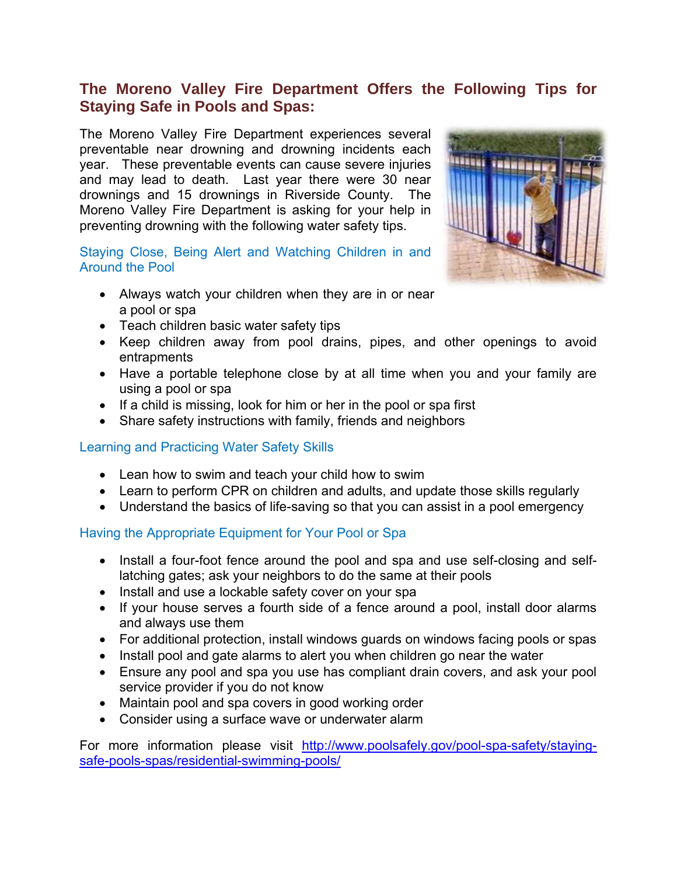# **The Moreno Valley Fire Department Offers the Following Tips for Staying Safe in Pools and Spas:**

The Moreno Valley Fire Department experiences several preventable near drowning and drowning incidents each year. These preventable events can cause severe injuries and may lead to death. Last year there were 30 near drownings and 15 drownings in Riverside County. The Moreno Valley Fire Department is asking for your help in preventing drowning with the following water safety tips.

### Staying Close, Being Alert and Watching Children in and Around the Pool

- Always watch your children when they are in or near a pool or spa
- Teach children basic water safety tips
- Keep children away from pool drains, pipes, and other openings to avoid entrapments
- Have a portable telephone close by at all time when you and your family are using a pool or spa
- $\bullet$  If a child is missing, look for him or her in the pool or spa first
- Share safety instructions with family, friends and neighbors

## Learning and Practicing Water Safety Skills

- Lean how to swim and teach your child how to swim
- Learn to perform CPR on children and adults, and update those skills regularly
- Understand the basics of life-saving so that you can assist in a pool emergency

## Having the Appropriate Equipment for Your Pool or Spa

- Install a four-foot fence around the pool and spa and use self-closing and selflatching gates; ask your neighbors to do the same at their pools
- Install and use a lockable safety cover on your spa
- If your house serves a fourth side of a fence around a pool, install door alarms and always use them
- For additional protection, install windows guards on windows facing pools or spas
- Install pool and gate alarms to alert you when children go near the water
- Ensure any pool and spa you use has compliant drain covers, and ask your pool service provider if you do not know
- Maintain pool and spa covers in good working order
- Consider using a surface wave or underwater alarm

For more information please visit [http://www.poolsafely.gov/pool-spa-safety/staying](http://www.poolsafely.gov/pool-spa-safety/staying-safe-pools-spas/residential-swimming-pools/)[safe-pools-spas/residential-swimming-pools/](http://www.poolsafely.gov/pool-spa-safety/staying-safe-pools-spas/residential-swimming-pools/) 

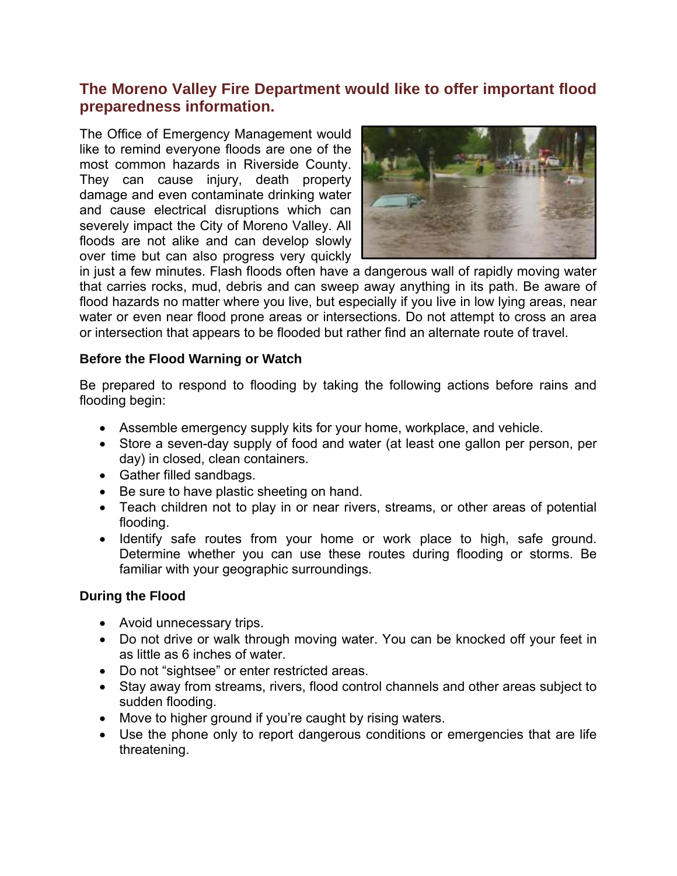## **The Moreno Valley Fire Department would like to offer important flood preparedness information.**

The Office of Emergency Management would like to remind everyone floods are one of the most common hazards in Riverside County. They can cause injury, death property damage and even contaminate drinking water and cause electrical disruptions which can severely impact the City of Moreno Valley. All floods are not alike and can develop slowly over time but can also progress very quickly



in just a few minutes. Flash floods often have a dangerous wall of rapidly moving water that carries rocks, mud, debris and can sweep away anything in its path. Be aware of flood hazards no matter where you live, but especially if you live in low lying areas, near water or even near flood prone areas or intersections. Do not attempt to cross an area or intersection that appears to be flooded but rather find an alternate route of travel.

#### **Before the Flood Warning or Watch**

Be prepared to respond to flooding by taking the following actions before rains and flooding begin:

- Assemble emergency supply kits for your home, workplace, and vehicle.
- Store a seven-day supply of food and water (at least one gallon per person, per day) in closed, clean containers.
- Gather filled sandbags.
- Be sure to have plastic sheeting on hand.
- Teach children not to play in or near rivers, streams, or other areas of potential flooding.
- Identify safe routes from your home or work place to high, safe ground. Determine whether you can use these routes during flooding or storms. Be familiar with your geographic surroundings.

## **During the Flood**

- Avoid unnecessary trips.
- Do not drive or walk through moving water. You can be knocked off your feet in as little as 6 inches of water.
- Do not "sightsee" or enter restricted areas.
- Stay away from streams, rivers, flood control channels and other areas subject to sudden flooding.
- Move to higher ground if you're caught by rising waters.
- Use the phone only to report dangerous conditions or emergencies that are life threatening.